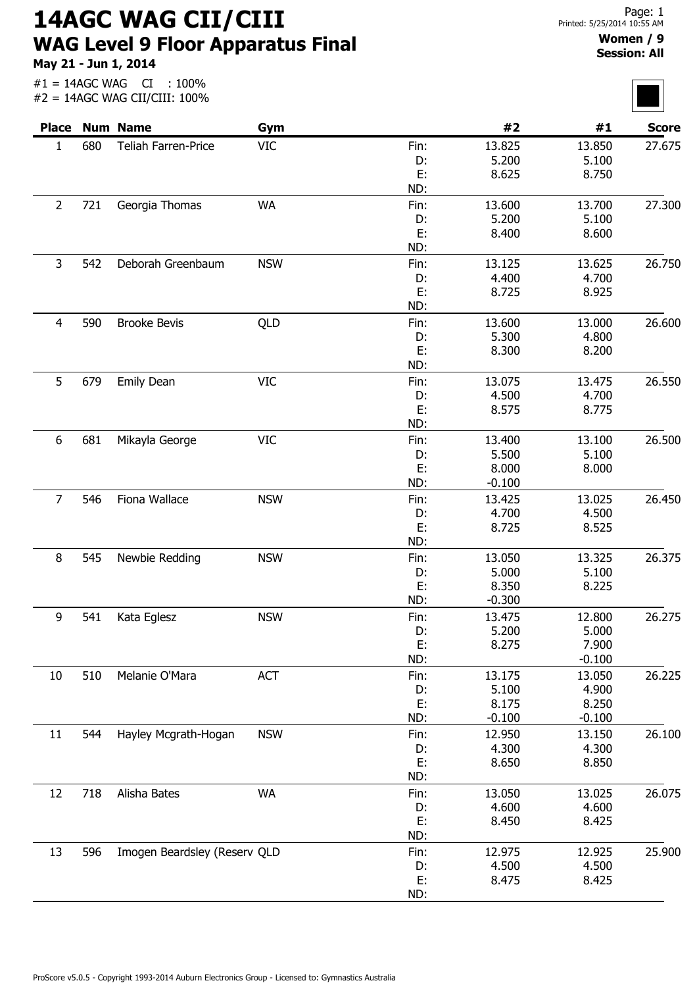14AGC WAG CII/CIII WAG Level 9 Floor Apparatus Final

May 21 - Jun 1, 2014

#1 = 14AGC WAG CI : 100%

 $\overline{\phantom{0}}$ 

| <b>Place</b>   |     | <b>Num Name</b>              | Gym        |      | #2       | #1       | <b>Score</b> |
|----------------|-----|------------------------------|------------|------|----------|----------|--------------|
| $\mathbf{1}$   | 680 | Teliah Farren-Price          | <b>VIC</b> | Fin: | 13.825   | 13.850   | 27.675       |
|                |     |                              |            | D:   | 5.200    | 5.100    |              |
|                |     |                              |            | E:   | 8.625    | 8.750    |              |
|                |     |                              |            | ND:  |          |          |              |
| $\overline{2}$ | 721 | Georgia Thomas               | <b>WA</b>  | Fin: | 13.600   | 13.700   | 27.300       |
|                |     |                              |            | D:   | 5.200    | 5.100    |              |
|                |     |                              |            | E:   | 8.400    | 8.600    |              |
|                |     |                              |            | ND:  |          |          |              |
| 3              | 542 | Deborah Greenbaum            | <b>NSW</b> | Fin: | 13.125   | 13.625   | 26.750       |
|                |     |                              |            | D:   | 4.400    | 4.700    |              |
|                |     |                              |            | E:   | 8.725    | 8.925    |              |
|                |     |                              |            | ND:  |          |          |              |
| $\overline{4}$ | 590 | <b>Brooke Bevis</b>          | QLD        | Fin: | 13.600   | 13.000   | 26.600       |
|                |     |                              |            | D:   | 5.300    | 4.800    |              |
|                |     |                              |            | E:   | 8.300    | 8.200    |              |
|                |     |                              |            | ND:  |          |          |              |
| 5              | 679 | Emily Dean                   | <b>VIC</b> | Fin: | 13.075   | 13.475   | 26.550       |
|                |     |                              |            | D:   | 4.500    | 4.700    |              |
|                |     |                              |            | E:   | 8.575    | 8.775    |              |
|                |     |                              |            | ND:  |          |          |              |
| 6              | 681 | Mikayla George               | <b>VIC</b> | Fin: | 13.400   | 13.100   | 26.500       |
|                |     |                              |            | D:   | 5.500    | 5.100    |              |
|                |     |                              |            | E:   | 8.000    | 8.000    |              |
|                |     |                              |            | ND:  | $-0.100$ |          |              |
| $\overline{7}$ | 546 | Fiona Wallace                | <b>NSW</b> | Fin: | 13.425   | 13.025   | 26.450       |
|                |     |                              |            | D:   | 4.700    | 4.500    |              |
|                |     |                              |            | E:   | 8.725    | 8.525    |              |
|                |     |                              |            | ND:  |          |          |              |
| 8              | 545 | Newbie Redding               | <b>NSW</b> | Fin: | 13.050   | 13.325   | 26.375       |
|                |     |                              |            | D:   | 5.000    | 5.100    |              |
|                |     |                              |            | E:   | 8.350    | 8.225    |              |
|                |     |                              |            | ND:  | $-0.300$ |          |              |
| q              | 541 | Kata Eglesz                  | <b>NSW</b> | Fin: | 13.475   | 12,800   | 26.275       |
|                |     |                              |            | D:   | 5.200    | 5.000    |              |
|                |     |                              |            | E:   | 8.275    | 7.900    |              |
|                |     |                              |            | ND:  |          | $-0.100$ |              |
| 10             | 510 | Melanie O'Mara               | <b>ACT</b> | Fin: | 13.175   | 13.050   | 26.225       |
|                |     |                              |            | D:   | 5.100    | 4.900    |              |
|                |     |                              |            | E:   | 8.175    | 8.250    |              |
|                |     |                              |            | ND:  | $-0.100$ | $-0.100$ |              |
| 11             | 544 | Hayley Mcgrath-Hogan         | <b>NSW</b> | Fin: | 12.950   | 13.150   | 26.100       |
|                |     |                              |            | D:   | 4.300    | 4.300    |              |
|                |     |                              |            | E:   | 8.650    | 8.850    |              |
|                |     |                              |            | ND:  |          |          |              |
| 12             | 718 | Alisha Bates                 | <b>WA</b>  | Fin: | 13.050   | 13.025   | 26.075       |
|                |     |                              |            | D:   | 4.600    | 4.600    |              |
|                |     |                              |            | Е.   | 8.450    | 8.425    |              |
|                |     |                              |            | ND:  |          |          |              |
| 13             | 596 | Imogen Beardsley (Reserv QLD |            | Fin: | 12.975   | 12.925   | 25.900       |
|                |     |                              |            | D:   | 4.500    | 4.500    |              |
|                |     |                              |            | E:   | 8.475    | 8.425    |              |
|                |     |                              |            | ND:  |          |          |              |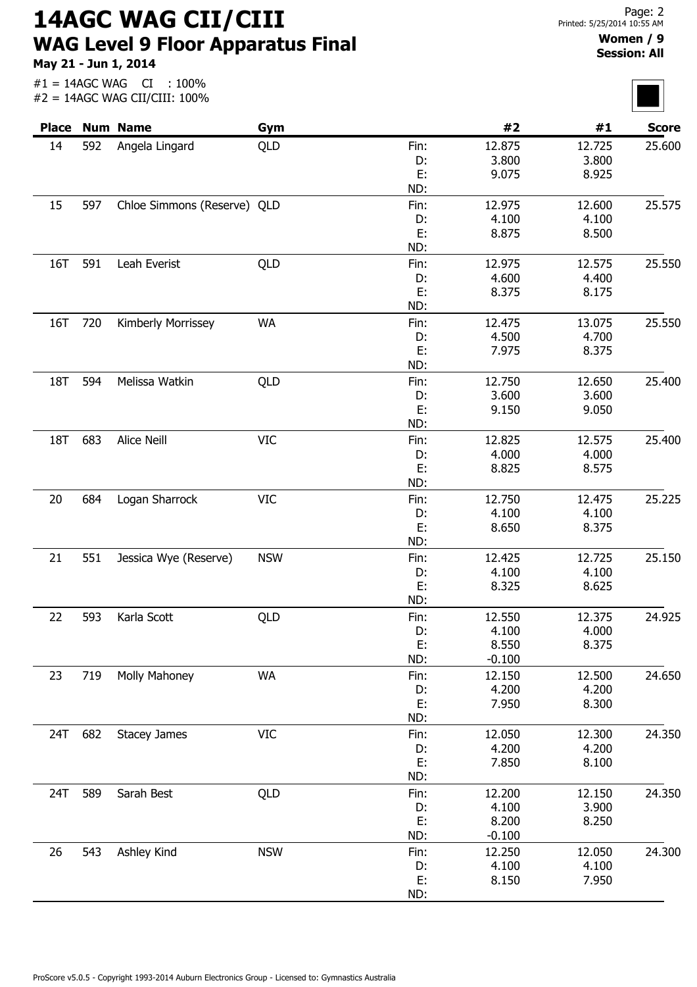14AGC WAG CII/CIII WAG Level 9 Floor Apparatus Final

May 21 - Jun 1, 2014

## Women / 9 Session: All

|         |     | <b>Place Num Name</b>       | Gym        |      | #2       | #1     | <b>Score</b> |
|---------|-----|-----------------------------|------------|------|----------|--------|--------------|
| 14      | 592 | Angela Lingard              | QLD        | Fin: | 12.875   | 12.725 | 25.600       |
|         |     |                             |            | D:   | 3.800    | 3.800  |              |
|         |     |                             |            | E:   | 9.075    | 8.925  |              |
|         |     |                             |            | ND:  |          |        |              |
| 15      | 597 | Chloe Simmons (Reserve) QLD |            | Fin: | 12.975   | 12.600 | 25.575       |
|         |     |                             |            | D:   | 4.100    | 4.100  |              |
|         |     |                             |            | E:   | 8.875    | 8.500  |              |
|         |     |                             |            | ND:  |          |        |              |
| 16T     | 591 | Leah Everist                | QLD        | Fin: | 12.975   | 12.575 | 25.550       |
|         |     |                             |            | D:   | 4.600    | 4.400  |              |
|         |     |                             |            | E:   | 8.375    | 8.175  |              |
|         |     |                             |            | ND:  |          |        |              |
| 16T     | 720 | Kimberly Morrissey          | <b>WA</b>  | Fin: | 12.475   | 13.075 | 25.550       |
|         |     |                             |            | D:   | 4.500    | 4.700  |              |
|         |     |                             |            | E:   | 7.975    | 8.375  |              |
|         |     |                             |            | ND:  |          |        |              |
| 18T     | 594 | Melissa Watkin              | QLD        | Fin: | 12.750   | 12.650 | 25.400       |
|         |     |                             |            | D:   | 3.600    | 3.600  |              |
|         |     |                             |            | E:   | 9.150    | 9.050  |              |
|         |     |                             |            | ND:  |          |        |              |
| 18T     | 683 | Alice Neill                 | <b>VIC</b> | Fin: | 12.825   | 12.575 | 25.400       |
|         |     |                             |            | D:   | 4.000    | 4.000  |              |
|         |     |                             |            | E:   | 8.825    | 8.575  |              |
|         |     |                             |            | ND:  |          |        |              |
| 20      | 684 | Logan Sharrock              | <b>VIC</b> | Fin: | 12.750   | 12.475 | 25.225       |
|         |     |                             |            | D:   | 4.100    | 4.100  |              |
|         |     |                             |            | E:   | 8.650    | 8.375  |              |
|         |     |                             |            | ND:  |          |        |              |
| 21      | 551 | Jessica Wye (Reserve)       | <b>NSW</b> | Fin: | 12.425   | 12.725 | 25.150       |
|         |     |                             |            | D:   | 4.100    | 4.100  |              |
|         |     |                             |            | E:   | 8.325    | 8.625  |              |
|         |     |                             |            | ND:  |          |        |              |
| 22      | 593 | Karla Scott                 | QLD        | Fin: | 12.550   | 12.375 | 24.925       |
|         |     |                             |            | D:   | 4.100    | 4.000  |              |
|         |     |                             |            | E:   | 8.550    | 8.375  |              |
|         |     |                             |            | ND:  | $-0.100$ |        |              |
| 23      | 719 | Molly Mahoney               | <b>WA</b>  | Fin: | 12.150   | 12.500 | 24.650       |
|         |     |                             |            | D:   | 4.200    | 4.200  |              |
|         |     |                             |            | E:   | 7.950    | 8.300  |              |
|         |     |                             |            | ND:  |          |        |              |
| 24T 682 |     | <b>Stacey James</b>         | <b>VIC</b> | Fin: | 12.050   | 12.300 | 24.350       |
|         |     |                             |            | D:   | 4.200    | 4.200  |              |
|         |     |                             |            | E:   | 7.850    | 8.100  |              |
|         |     |                             |            | ND:  |          |        |              |
| 24T     | 589 | Sarah Best                  | QLD        | Fin: | 12.200   | 12.150 | 24.350       |
|         |     |                             |            | D:   | 4.100    | 3.900  |              |
|         |     |                             |            | E:   | 8.200    | 8.250  |              |
|         |     |                             |            | ND:  | $-0.100$ |        |              |
| 26      | 543 | Ashley Kind                 | <b>NSW</b> | Fin: | 12.250   | 12.050 | 24.300       |
|         |     |                             |            | D:   | 4.100    | 4.100  |              |
|         |     |                             |            | E:   | 8.150    | 7.950  |              |
|         |     |                             |            | ND:  |          |        |              |